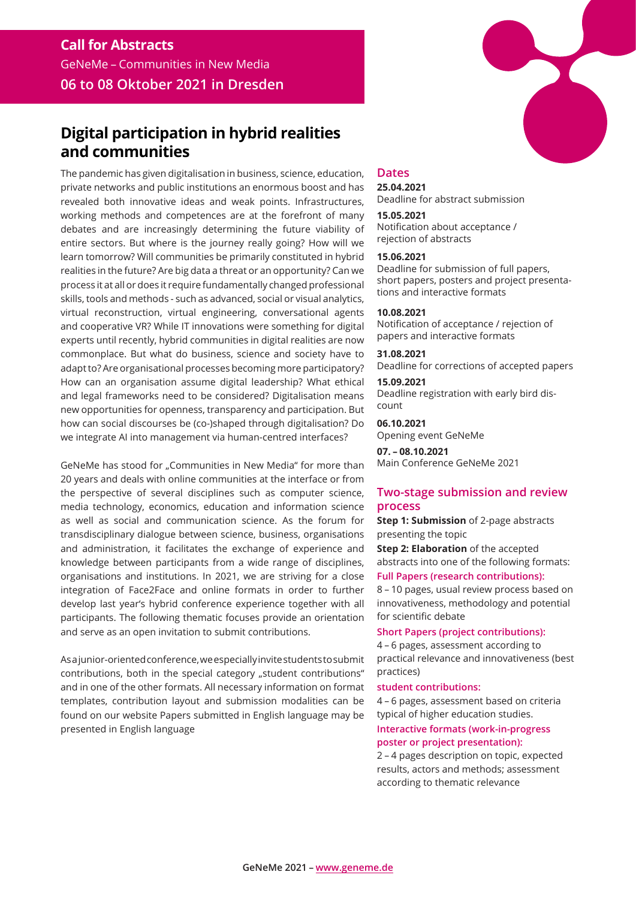# **Digital participation in hybrid realities and communities**

The pandemic has given digitalisation in business, science, education, private networks and public institutions an enormous boost and has revealed both innovative ideas and weak points. Infrastructures, working methods and competences are at the forefront of many debates and are increasingly determining the future viability of entire sectors. But where is the journey really going? How will we learn tomorrow? Will communities be primarily constituted in hybrid realities in the future? Are big data a threat or an opportunity? Can we process it at all or does it require fundamentally changed professional skills, tools and methods - such as advanced, social or visual analytics, virtual reconstruction, virtual engineering, conversational agents and cooperative VR? While IT innovations were something for digital experts until recently, hybrid communities in digital realities are now commonplace. But what do business, science and society have to adapt to? Are organisational processes becoming more participatory? How can an organisation assume digital leadership? What ethical and legal frameworks need to be considered? Digitalisation means new opportunities for openness, transparency and participation. But how can social discourses be (co-)shaped through digitalisation? Do we integrate AI into management via human-centred interfaces?

GeNeMe has stood for "Communities in New Media" for more than 20 years and deals with online communities at the interface or from the perspective of several disciplines such as computer science, media technology, economics, education and information science as well as social and communication science. As the forum for transdisciplinary dialogue between science, business, organisations and administration, it facilitates the exchange of experience and knowledge between participants from a wide range of disciplines, organisations and institutions. In 2021, we are striving for a close integration of Face2Face and online formats in order to further develop last year's hybrid conference experience together with all participants. The following thematic focuses provide an orientation and serve as an open invitation to submit contributions.

As a junior-oriented conference, we especially invite students to submit contributions, both in the special category "student contributions" and in one of the other formats. All necessary information on format templates, contribution layout and submission modalities can be found on our website Papers submitted in English language may be presented in English language



## **Dates**

**25.04.2021** Deadline for abstract submission

#### **15.05.2021**

Notification about acceptance / rejection of abstracts

#### **15.06.2021**

Deadline for submission of full papers, short papers, posters and project presentations and interactive formats

#### **10.08.2021**

Notification of acceptance / rejection of papers and interactive formats

**31.08.2021** Deadline for corrections of accepted papers

**15.09.2021** Deadline registration with early bird discount

**06.10.2021**  Opening event GeNeMe

**07. – 08.10.2021** Main Conference GeNeMe 2021

# **Two-stage submission and review process**

**Step 1: Submission** of 2-page abstracts presenting the topic

**Step 2: Elaboration** of the accepted abstracts into one of the following formats: **Full Papers (research contributions):** 

8 – 10 pages, usual review process based on innovativeness, methodology and potential for scientific debate

## **Short Papers (project contributions):**

4 – 6 pages, assessment according to practical relevance and innovativeness (best practices)

#### **student contributions:**

4 – 6 pages, assessment based on criteria typical of higher education studies.

## **Interactive formats (work-in-progress poster or project presentation):**

2 – 4 pages description on topic, expected results, actors and methods; assessment according to thematic relevance